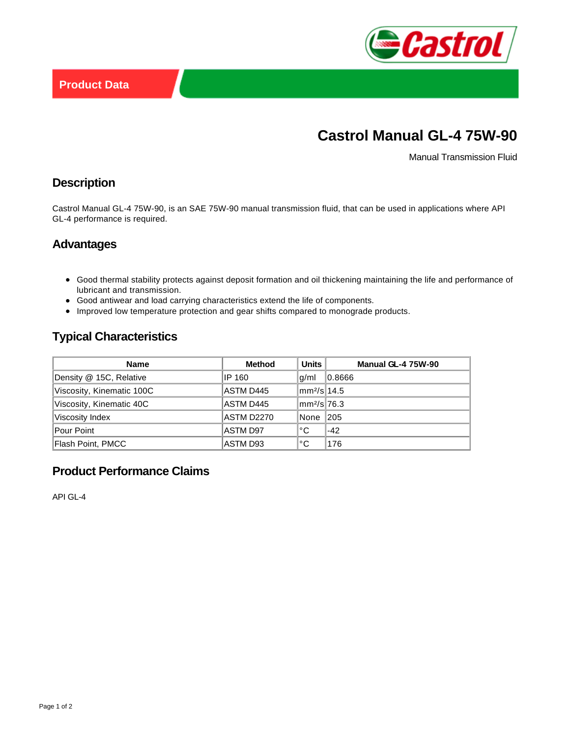

# **Castrol Manual GL-4 75W-90**

Manual Transmission Fluid

### **Description**

Castrol Manual GL-4 75W-90, is an SAE 75W-90 manual transmission fluid, that can be used in applications where API GL-4 performance is required.

#### **Advantages**

- Good thermal stability protects against deposit formation and oil thickening maintaining the life and performance of lubricant and transmission.
- Good antiwear and load carrying characteristics extend the life of components.
- Improved low temperature protection and gear shifts compared to monograde products.

## **Typical Characteristics**

| <b>Name</b>               | <b>Method</b>   | <b>Units</b>                     | <b>Manual GL-4 75W-90</b> |
|---------------------------|-----------------|----------------------------------|---------------------------|
| Density @ 15C, Relative   | IP 160          | g/ml                             | 0.8666                    |
| Viscosity, Kinematic 100C | ASTM D445       | $\text{mm}^2/\text{s}$ 14.5      |                           |
| Viscosity, Kinematic 40C  | ASTM D445       | $\text{Im}$ m $\frac{2}{s}$ 76.3 |                           |
| Viscosity Index           | ASTM D2270      | None                             | 205                       |
| Pour Point                | <b>ASTM D97</b> | °C                               | $-42$                     |
| Flash Point, PMCC         | ASTM D93        | °C                               | 176                       |

# **Product Performance Claims**

API GL-4